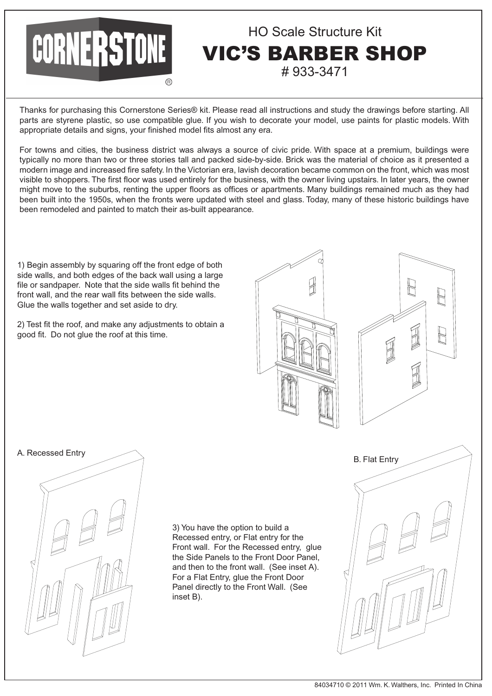## HO Scale Structure Kit CORNERSTONE **IC'S BARBER SHOP** # 933-3471

Thanks for purchasing this Cornerstone Series® kit. Please read all instructions and study the drawings before starting. All parts are styrene plastic, so use compatible glue. If you wish to decorate your model, use paints for plastic models. With appropriate details and signs, your finished model fits almost any era.

For towns and cities, the business district was always a source of civic pride. With space at a premium, buildings were typically no more than two or three stories tall and packed side-by-side. Brick was the material of choice as it presented a modern image and increased fire safety. In the Victorian era, lavish decoration became common on the front, which was most visible to shoppers. The first floor was used entirely for the business, with the owner living upstairs. In later years, the owner might move to the suburbs, renting the upper floors as offices or apartments. Many buildings remained much as they had been built into the 1950s, when the fronts were updated with steel and glass. Today, many of these historic buildings have been remodeled and painted to match their as-built appearance.

1) Begin assembly by squaring off the front edge of both side walls, and both edges of the back wall using a large file or sandpaper. Note that the side walls fit behind the front wall, and the rear wall fits between the side walls. Glue the walls together and set aside to dry.

2) Test fit the roof, and make any adjustments to obtain a good fit. Do not glue the roof at this time.







3) You have the option to build a Recessed entry, or Flat entry for the Front wall. For the Recessed entry, glue the Side Panels to the Front Door Panel, and then to the front wall. (See inset A). For a Flat Entry, glue the Front Door Panel directly to the Front Wall. (See inset B).